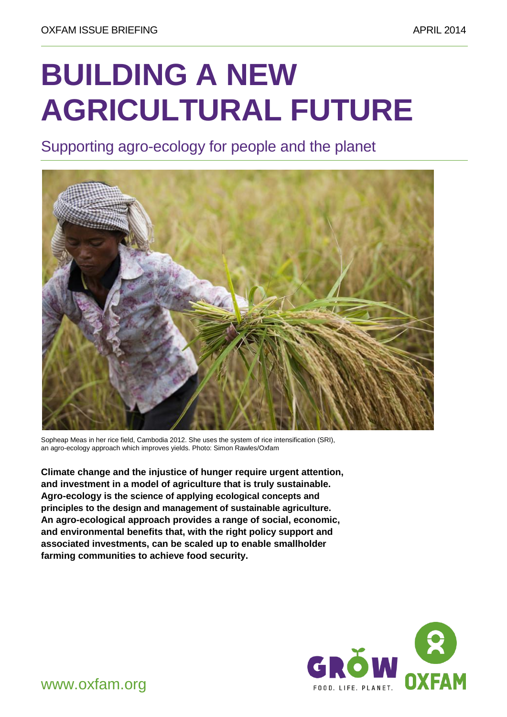# **BUILDING A NEW AGRICULTURAL FUTURE**

Supporting agro-ecology for people and the planet



Sopheap Meas in her rice field, Cambodia 2012. She uses the system of rice intensification (SRI), an agro-ecology approach which improves yields. Photo: Simon Rawles/Oxfam

**Climate change and the injustice of hunger require urgent attention, and investment in a model of agriculture that is truly sustainable. Agro-ecology is the science of applying ecological concepts and principles to the design and management of sustainable agriculture. An agro-ecological approach provides a range of social, economic, and environmental benefits that, with the right policy support and associated investments, can be scaled up to enable smallholder farming communities to achieve food security.**



WWW.OXFam.org FOOD. LIFE. PLANET.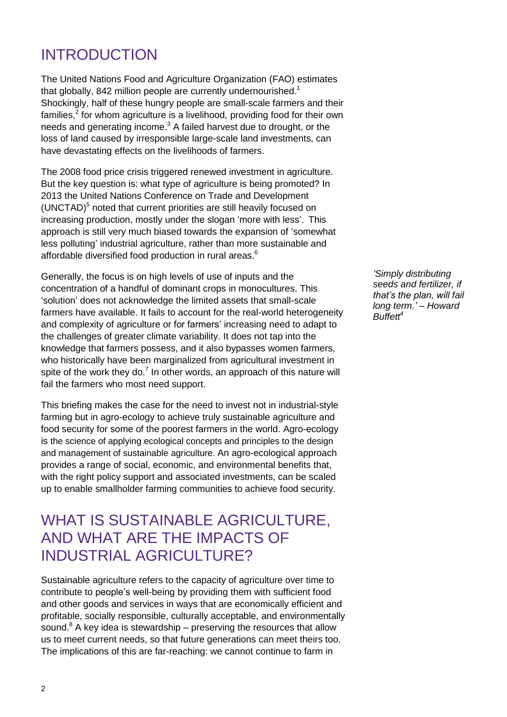# INTRODUCTION

The United Nations Food and Agriculture Organization (FAO) estimates that globally, 842 million people are currently undernourished.<sup>1</sup> Shockingly, half of these hungry people are small-scale farmers and their families, $<sup>2</sup>$  for whom agriculture is a livelihood, providing food for their own</sup> needs and generating income. $3$  A failed harvest due to drought, or the loss of land caused by irresponsible large-scale land investments, can have devastating effects on the livelihoods of farmers.

The 2008 food price crisis triggered renewed investment in agriculture. But the key question is: what type of agriculture is being promoted? In 2013 the United Nations Conference on Trade and Development (UNCTAD) 5 noted that current priorities are still heavily focused on increasing production, mostly under the slogan 'more with less'. This approach is still very much biased towards the expansion of "somewhat less polluting' industrial agriculture, rather than more sustainable and affordable diversified food production in rural areas. $^6$ 

Generally, the focus is on high levels of use of inputs and the concentration of a handful of dominant crops in monocultures. This "solution" does not acknowledge the limited assets that small-scale farmers have available. It fails to account for the real-world heterogeneity and complexity of agriculture or for farmers" increasing need to adapt to the challenges of greater climate variability. It does not tap into the knowledge that farmers possess, and it also bypasses women farmers, who historically have been marginalized from agricultural investment in spite of the work they do. $<sup>7</sup>$  In other words, an approach of this nature will</sup> fail the farmers who most need support.

This briefing makes the case for the need to invest not in industrial-style farming but in agro-ecology to achieve truly sustainable agriculture and food security for some of the poorest farmers in the world. Agro-ecology is the science of applying ecological concepts and principles to the design and management of sustainable agriculture. An agro-ecological approach provides a range of social, economic, and environmental benefits that, with the right policy support and associated investments, can be scaled up to enable smallholder farming communities to achieve food security.

# WHAT IS SUSTAINABLE AGRICULTURE, AND WHAT ARE THE IMPACTS OF INDUSTRIAL AGRICULTURE?

Sustainable agriculture refers to the capacity of agriculture over time to contribute to people"s well-being by providing them with sufficient food and other goods and services in ways that are economically efficient and profitable, socially responsible, culturally acceptable, and environmentally sound. $8$  A key idea is stewardship – preserving the resources that allow us to meet current needs, so that future generations can meet theirs too. The implications of this are far-reaching: we cannot continue to farm in

*'Simply distributing seeds and fertilizer, if that's the plan, will fail long term.' – Howard Buffett<sup>4</sup>*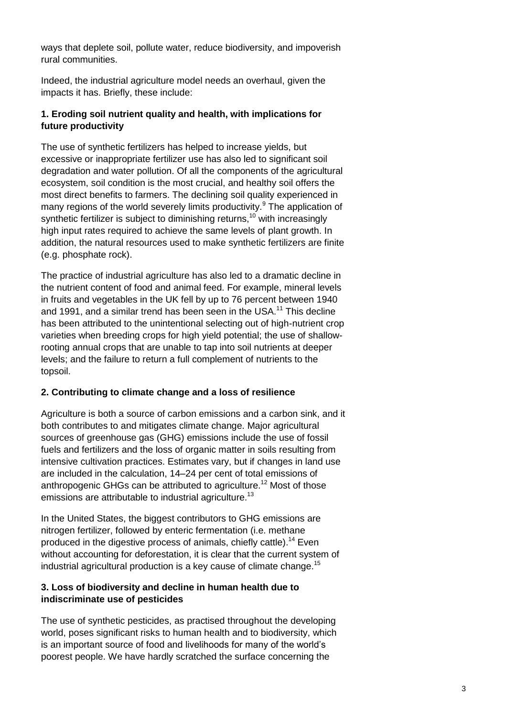ways that deplete soil, pollute water, reduce biodiversity, and impoverish rural communities.

Indeed, the industrial agriculture model needs an overhaul, given the impacts it has. Briefly, these include:

## **1. Eroding soil nutrient quality and health, with implications for future productivity**

The use of synthetic fertilizers has helped to increase yields, but excessive or inappropriate fertilizer use has also led to significant soil degradation and water pollution. Of all the components of the agricultural ecosystem, soil condition is the most crucial, and healthy soil offers the most direct benefits to farmers. The declining soil quality experienced in many regions of the world severely limits productivity.<sup>9</sup> The application of synthetic fertilizer is subject to diminishing returns,<sup>10</sup> with increasingly high input rates required to achieve the same levels of plant growth. In addition, the natural resources used to make synthetic fertilizers are finite (e.g. phosphate rock).

The practice of industrial agriculture has also led to a dramatic decline in the nutrient content of food and animal feed. For example, mineral levels in fruits and vegetables in the UK fell by up to 76 percent between 1940 and 1991, and a similar trend has been seen in the USA.<sup>11</sup> This decline has been attributed to the unintentional selecting out of high-nutrient crop varieties when breeding crops for high yield potential; the use of shallowrooting annual crops that are unable to tap into soil nutrients at deeper levels; and the failure to return a full complement of nutrients to the topsoil.

## **2. Contributing to climate change and a loss of resilience**

Agriculture is both a source of carbon emissions and a carbon sink, and it both contributes to and mitigates climate change. Major agricultural sources of greenhouse gas (GHG) emissions include the use of fossil fuels and fertilizers and the loss of organic matter in soils resulting from intensive cultivation practices. Estimates vary, but if changes in land use are included in the calculation, 14–24 per cent of total emissions of anthropogenic GHGs can be attributed to agriculture.<sup>12</sup> Most of those emissions are attributable to industrial agriculture.<sup>13</sup>

In the United States, the biggest contributors to GHG emissions are nitrogen fertilizer, followed by enteric fermentation (i.e. methane produced in the digestive process of animals, chiefly cattle).<sup>14</sup> Even without accounting for deforestation, it is clear that the current system of industrial agricultural production is a key cause of climate change.<sup>15</sup>

## **3. Loss of biodiversity and decline in human health due to indiscriminate use of pesticides**

The use of synthetic pesticides, as practised throughout the developing world, poses significant risks to human health and to biodiversity, which is an important source of food and livelihoods for many of the world"s poorest people. We have hardly scratched the surface concerning the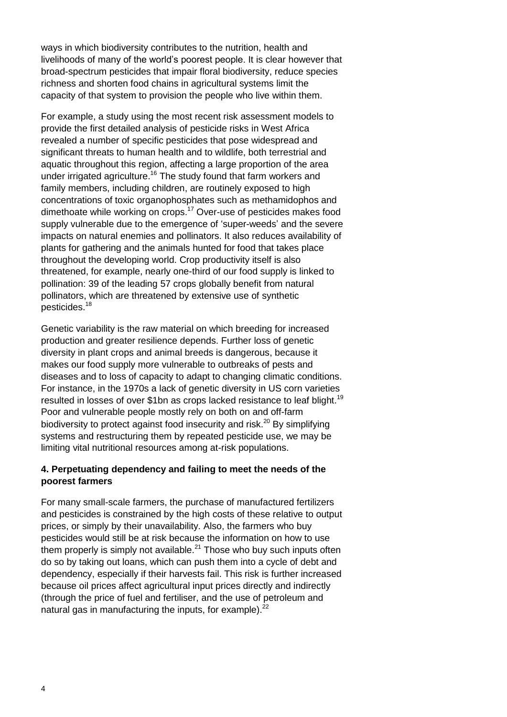ways in which biodiversity contributes to the nutrition, health and livelihoods of many of the world"s poorest people. It is clear however that broad-spectrum pesticides that impair floral biodiversity, reduce species richness and shorten food chains in agricultural systems limit the capacity of that system to provision the people who live within them.

For example, a study using the most recent risk assessment models to provide the first detailed analysis of pesticide risks in West Africa revealed a number of specific pesticides that pose widespread and significant threats to human health and to wildlife, both terrestrial and aquatic throughout this region, affecting a large proportion of the area under irrigated agriculture.<sup>16</sup> The study found that farm workers and family members, including children, are routinely exposed to high concentrations of toxic organophosphates such as methamidophos and dimethoate while working on crops. <sup>17</sup> Over-use of pesticides makes food supply vulnerable due to the emergence of 'super-weeds' and the severe impacts on natural enemies and pollinators. It also reduces availability of plants for gathering and the animals hunted for food that takes place throughout the developing world. Crop productivity itself is also threatened, for example, nearly one-third of our food supply is linked to pollination: 39 of the leading 57 crops globally benefit from natural pollinators, which are threatened by extensive use of synthetic pesticides.<sup>18</sup>

Genetic variability is the raw material on which breeding for increased production and greater resilience depends. Further loss of genetic diversity in plant crops and animal breeds is dangerous, because it makes our food supply more vulnerable to outbreaks of pests and diseases and to loss of capacity to adapt to changing climatic conditions. For instance, in the 1970s a lack of genetic diversity in US corn varieties resulted in losses of over \$1bn as crops lacked resistance to leaf blight.<sup>19</sup> Poor and vulnerable people mostly rely on both on and off-farm biodiversity to protect against food insecurity and risk.<sup>20</sup> By simplifying systems and restructuring them by repeated pesticide use, we may be limiting vital nutritional resources among at-risk populations.

## **4. Perpetuating dependency and failing to meet the needs of the poorest farmers**

For many small-scale farmers, the purchase of manufactured fertilizers and pesticides is constrained by the high costs of these relative to output prices, or simply by their unavailability. Also, the farmers who buy pesticides would still be at risk because the information on how to use them properly is simply not available. $21$  Those who buy such inputs often do so by taking out loans, which can push them into a cycle of debt and dependency, especially if their harvests fail. This risk is further increased because oil prices affect agricultural input prices directly and indirectly (through the price of fuel and fertiliser, and the use of petroleum and natural gas in manufacturing the inputs, for example). $^{22}$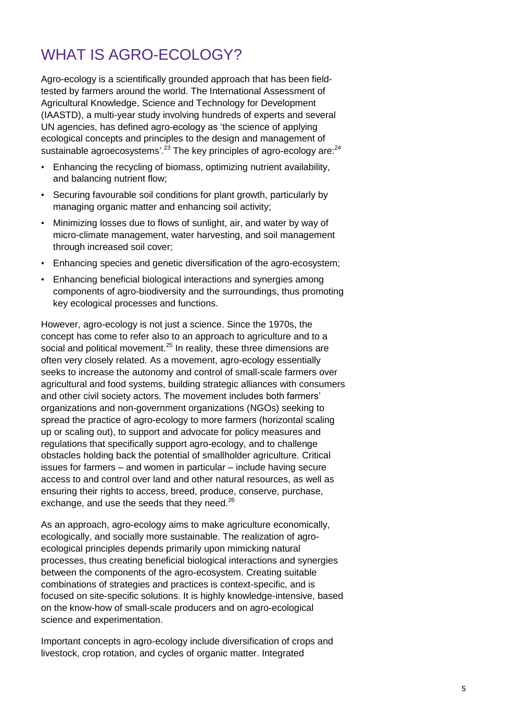# WHAT IS AGRO-ECOLOGY?

Agro-ecology is a scientifically grounded approach that has been fieldtested by farmers around the world. The International Assessment of Agricultural Knowledge, Science and Technology for Development (IAASTD), a multi-year study involving hundreds of experts and several UN agencies, has defined agro-ecology as "the science of applying ecological concepts and principles to the design and management of sustainable agroecosystems'.<sup>23</sup> The key principles of agro-ecology are:<sup>24</sup>

- Enhancing the recycling of biomass, optimizing nutrient availability, and balancing nutrient flow;
- Securing favourable soil conditions for plant growth, particularly by managing organic matter and enhancing soil activity;
- Minimizing losses due to flows of sunlight, air, and water by way of micro-climate management, water harvesting, and soil management through increased soil cover;
- Enhancing species and genetic diversification of the agro-ecosystem;
- Enhancing beneficial biological interactions and synergies among components of agro-biodiversity and the surroundings, thus promoting key ecological processes and functions.

However, agro-ecology is not just a science. Since the 1970s, the concept has come to refer also to an approach to agriculture and to a social and political movement.<sup>25</sup> In reality, these three dimensions are often very closely related. As a movement, agro-ecology essentially seeks to increase the autonomy and control of small-scale farmers over agricultural and food systems, building strategic alliances with consumers and other civil society actors. The movement includes both farmers" organizations and non-government organizations (NGOs) seeking to spread the practice of agro-ecology to more farmers (horizontal scaling up or scaling out), to support and advocate for policy measures and regulations that specifically support agro-ecology, and to challenge obstacles holding back the potential of smallholder agriculture. Critical issues for farmers – and women in particular – include having secure access to and control over land and other natural resources, as well as ensuring their rights to access, breed, produce, conserve, purchase, exchange, and use the seeds that they need. $^{26}$ 

As an approach, agro-ecology aims to make agriculture economically, ecologically, and socially more sustainable. The realization of agroecological principles depends primarily upon mimicking natural processes, thus creating beneficial biological interactions and synergies between the components of the agro-ecosystem. Creating suitable combinations of strategies and practices is context-specific, and is focused on site-specific solutions. It is highly knowledge-intensive, based on the know-how of small-scale producers and on agro-ecological science and experimentation.

Important concepts in agro-ecology include diversification of crops and livestock, crop rotation, and cycles of organic matter. Integrated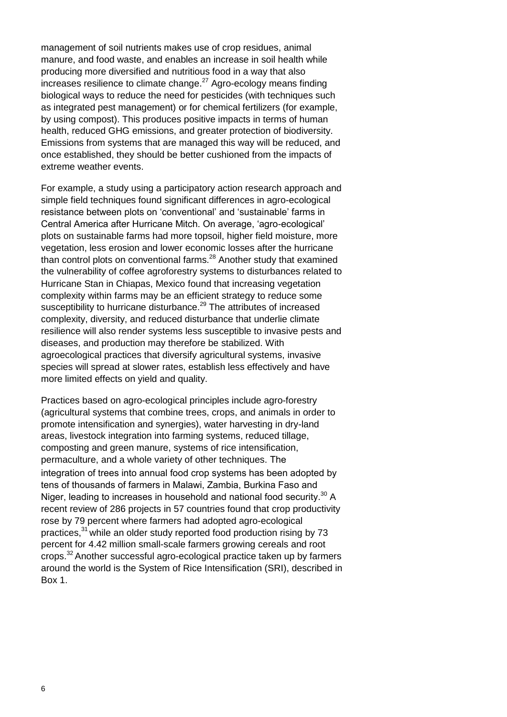management of soil nutrients makes use of crop residues, animal manure, and food waste, and enables an increase in soil health while producing more diversified and nutritious food in a way that also increases resilience to climate change. $^{27}$  Agro-ecology means finding biological ways to reduce the need for pesticides (with techniques such as integrated pest management) or for chemical fertilizers (for example, by using compost). This produces positive impacts in terms of human health, reduced GHG emissions, and greater protection of biodiversity. Emissions from systems that are managed this way will be reduced, and once established, they should be better cushioned from the impacts of extreme weather events.

For example, a study using a participatory action research approach and simple field techniques found significant differences in agro-ecological resistance between plots on "conventional" and "sustainable" farms in Central America after Hurricane Mitch. On average, "agro-ecological" plots on sustainable farms had more topsoil, higher field moisture, more vegetation, less erosion and lower economic losses after the hurricane than control plots on conventional farms.<sup>28</sup> Another study that examined the vulnerability of coffee agroforestry systems to disturbances related to Hurricane Stan in Chiapas, Mexico found that increasing vegetation complexity within farms may be an efficient strategy to reduce some susceptibility to hurricane disturbance.<sup>29</sup> The attributes of increased complexity, diversity, and reduced disturbance that underlie climate resilience will also render systems less susceptible to invasive pests and diseases, and production may therefore be stabilized. With agroecological practices that diversify agricultural systems, invasive species will spread at slower rates, establish less effectively and have more limited effects on yield and quality.

Practices based on agro-ecological principles include agro-forestry (agricultural systems that combine trees, crops, and animals in order to promote intensification and synergies), water harvesting in dry-land areas, livestock integration into farming systems, reduced tillage, composting and green manure, systems of rice intensification, permaculture, and a whole variety of other techniques. The integration of trees into annual food crop systems has been adopted by tens of thousands of farmers in Malawi, Zambia, Burkina Faso and Niger, leading to increases in household and national food security. $30$  A recent review of 286 projects in 57 countries found that crop productivity rose by 79 percent where farmers had adopted agro-ecological practices,<sup>31</sup> while an older study reported food production rising by 73 percent for 4.42 million small-scale farmers growing cereals and root crops.<sup>32</sup> Another successful agro-ecological practice taken up by farmers around the world is the System of Rice Intensification (SRI), described in Box 1.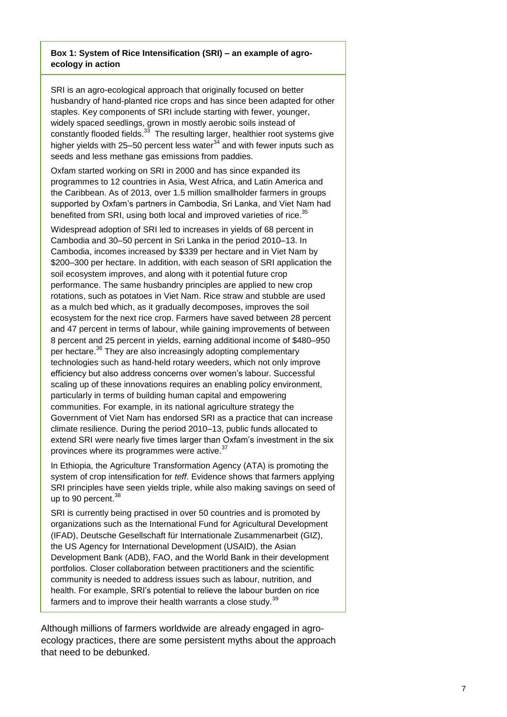#### **Box 1: System of Rice Intensification (SRI) – an example of agroecology in action**

SRI is an agro-ecological approach that originally focused on better husbandry of hand-planted rice crops and has since been adapted for other staples. Key components of SRI include starting with fewer, younger, widely spaced seedlings, grown in mostly aerobic soils instead of constantly flooded fields.<sup>33</sup> The resulting larger, healthier root systems give higher yields with 25–50 percent less water $34$  and with fewer inputs such as seeds and less methane gas emissions from paddies.

Oxfam started working on SRI in 2000 and has since expanded its programmes to 12 countries in Asia, West Africa, and Latin America and the Caribbean. As of 2013, over 1.5 million smallholder farmers in groups supported by Oxfam"s partners in Cambodia, Sri Lanka, and Viet Nam had benefited from SRI, using both local and improved varieties of rice.<sup>35</sup>

Widespread adoption of SRI led to increases in yields of 68 percent in Cambodia and 30–50 percent in Sri Lanka in the period 2010–13. In Cambodia, incomes increased by \$339 per hectare and in Viet Nam by \$200–300 per hectare. In addition, with each season of SRI application the soil ecosystem improves, and along with it potential future crop performance. The same husbandry principles are applied to new crop rotations, such as potatoes in Viet Nam. Rice straw and stubble are used as a mulch bed which, as it gradually decomposes, improves the soil ecosystem for the next rice crop. Farmers have saved between 28 percent and 47 percent in terms of labour, while gaining improvements of between 8 percent and 25 percent in yields, earning additional income of \$480–950 per hectare.<sup>36</sup> They are also increasingly adopting complementary technologies such as hand-held rotary weeders, which not only improve efficiency but also address concerns over women"s labour. Successful scaling up of these innovations requires an enabling policy environment, particularly in terms of building human capital and empowering communities. For example, in its national agriculture strategy the Government of Viet Nam has endorsed SRI as a practice that can increase climate resilience. During the period 2010–13, public funds allocated to extend SRI were nearly five times larger than Oxfam"s investment in the six provinces where its programmes were active.<sup>37</sup>

In Ethiopia, the Agriculture Transformation Agency (ATA) is promoting the system of crop intensification for *teff*. Evidence shows that farmers applying SRI principles have seen yields triple, while also making savings on seed of up to 90 percent.<sup>38</sup>

SRI is currently being practised in over 50 countries and is promoted by organizations such as the International Fund for Agricultural Development (IFAD), Deutsche Gesellschaft für Internationale Zusammenarbeit (GIZ), the US Agency for International Development (USAID), the Asian Development Bank (ADB), FAO, and the World Bank in their development portfolios. Closer collaboration between practitioners and the scientific community is needed to address issues such as labour, nutrition, and health. For example, SRI"s potential to relieve the labour burden on rice farmers and to improve their health warrants a close study.<sup>39</sup>

Although millions of farmers worldwide are already engaged in agroecology practices, there are some persistent myths about the approach that need to be debunked.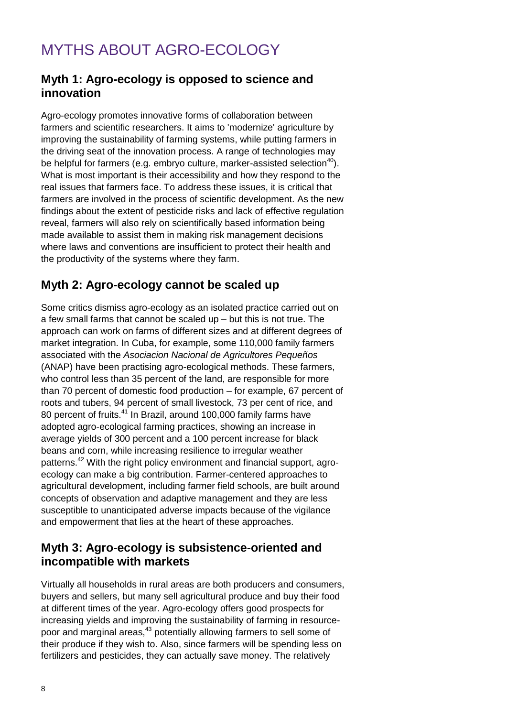# MYTHS ABOUT AGRO-ECOLOGY

## **Myth 1: Agro-ecology is opposed to science and innovation**

Agro-ecology promotes innovative forms of collaboration between farmers and scientific researchers. It aims to 'modernize' agriculture by improving the sustainability of farming systems, while putting farmers in the driving seat of the innovation process. A range of technologies may be helpful for farmers (e.g. embryo culture, marker-assisted selection<sup>40</sup>). What is most important is their accessibility and how they respond to the real issues that farmers face. To address these issues, it is critical that farmers are involved in the process of scientific development. As the new findings about the extent of pesticide risks and lack of effective regulation reveal, farmers will also rely on scientifically based information being made available to assist them in making risk management decisions where laws and conventions are insufficient to protect their health and the productivity of the systems where they farm.

## **Myth 2: Agro-ecology cannot be scaled up**

Some critics dismiss agro-ecology as an isolated practice carried out on a few small farms that cannot be scaled up – but this is not true. The approach can work on farms of different sizes and at different degrees of market integration. In Cuba, for example, some 110,000 family farmers associated with the *Asociacion Nacional de Agricultores Pequeños* (ANAP) have been practising agro-ecological methods. These farmers, who control less than 35 percent of the land, are responsible for more than 70 percent of domestic food production – for example, 67 percent of roots and tubers, 94 percent of small livestock, 73 per cent of rice, and 80 percent of fruits.<sup>41</sup> In Brazil, around 100,000 family farms have adopted agro-ecological farming practices, showing an increase in average yields of 300 percent and a 100 percent increase for black beans and corn, while increasing resilience to irregular weather patterns.<sup>42</sup> With the right policy environment and financial support, agroecology can make a big contribution. Farmer-centered approaches to agricultural development, including farmer field schools, are built around concepts of observation and adaptive management and they are less susceptible to unanticipated adverse impacts because of the vigilance and empowerment that lies at the heart of these approaches.

## **Myth 3: Agro-ecology is subsistence-oriented and incompatible with markets**

Virtually all households in rural areas are both producers and consumers, buyers and sellers, but many sell agricultural produce and buy their food at different times of the year. Agro-ecology offers good prospects for increasing yields and improving the sustainability of farming in resourcepoor and marginal areas,<sup>43</sup> potentially allowing farmers to sell some of their produce if they wish to. Also, since farmers will be spending less on fertilizers and pesticides, they can actually save money. The relatively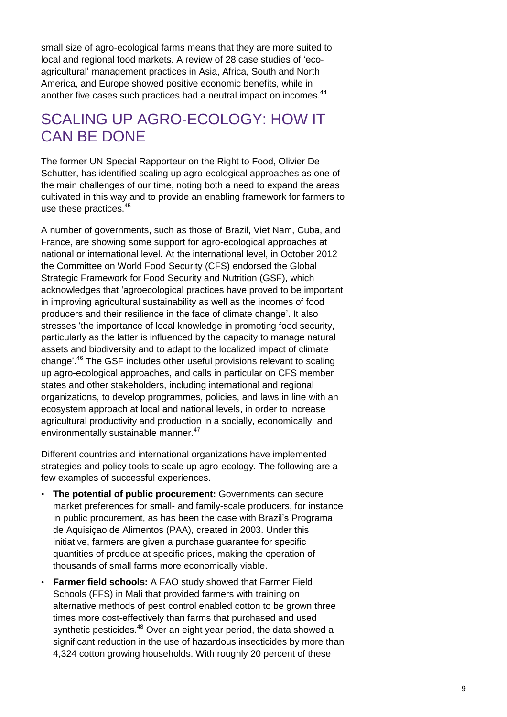small size of agro-ecological farms means that they are more suited to local and regional food markets. A review of 28 case studies of "ecoagricultural" management practices in Asia, Africa, South and North America, and Europe showed positive economic benefits, while in another five cases such practices had a neutral impact on incomes.<sup>44</sup>

## SCALING UP AGRO-ECOLOGY: HOW IT CAN BE DONE

The former UN Special Rapporteur on the Right to Food, Olivier De Schutter, has identified scaling up agro-ecological approaches as one of the main challenges of our time, noting both a need to expand the areas cultivated in this way and to provide an enabling framework for farmers to use these practices.<sup>45</sup>

A number of governments, such as those of Brazil, Viet Nam, Cuba, and France, are showing some support for agro-ecological approaches at national or international level. At the international level, in October 2012 the Committee on World Food Security (CFS) endorsed the Global Strategic Framework for Food Security and Nutrition (GSF), which acknowledges that "agroecological practices have proved to be important in improving agricultural sustainability as well as the incomes of food producers and their resilience in the face of climate change". It also stresses "the importance of local knowledge in promoting food security, particularly as the latter is influenced by the capacity to manage natural assets and biodiversity and to adapt to the localized impact of climate change'.<sup>46</sup> The GSF includes other useful provisions relevant to scaling up agro-ecological approaches, and calls in particular on CFS member states and other stakeholders, including international and regional organizations, to develop programmes, policies, and laws in line with an ecosystem approach at local and national levels, in order to increase agricultural productivity and production in a socially, economically, and environmentally sustainable manner.<sup>47</sup>

Different countries and international organizations have implemented strategies and policy tools to scale up agro-ecology. The following are a few examples of successful experiences.

- **The potential of public procurement:** Governments can secure market preferences for small- and family-scale producers, for instance in public procurement, as has been the case with Brazil"s Programa de Aquisiçao de Alimentos (PAA), created in 2003. Under this initiative, farmers are given a purchase guarantee for specific quantities of produce at specific prices, making the operation of thousands of small farms more economically viable.
- **Farmer field schools:** A FAO study showed that Farmer Field Schools (FFS) in Mali that provided farmers with training on alternative methods of pest control enabled cotton to be grown three times more cost-effectively than farms that purchased and used synthetic pesticides.<sup>48</sup> Over an eight year period, the data showed a significant reduction in the use of hazardous insecticides by more than 4,324 cotton growing households. With roughly 20 percent of these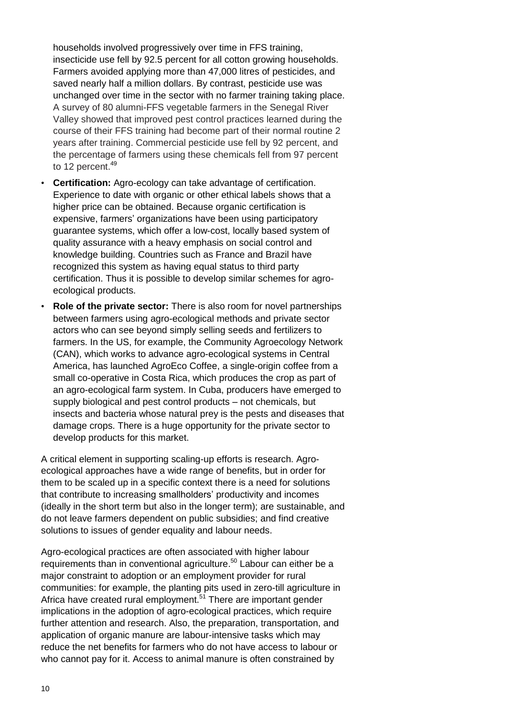households involved progressively over time in FFS training, insecticide use fell by 92.5 percent for all cotton growing households. Farmers avoided applying more than 47,000 litres of pesticides, and saved nearly half a million dollars. By contrast, pesticide use was unchanged over time in the sector with no farmer training taking place. A survey of 80 alumni-FFS vegetable farmers in the Senegal River Valley showed that improved pest control practices learned during the course of their FFS training had become part of their normal routine 2 years after training. Commercial pesticide use fell by 92 percent, and the percentage of farmers using these chemicals fell from 97 percent to 12 percent.<sup>49</sup>

- **Certification:** Agro-ecology can take advantage of certification. Experience to date with organic or other ethical labels shows that a higher price can be obtained. Because organic certification is expensive, farmers" organizations have been using participatory guarantee systems, which offer a low-cost, locally based system of quality assurance with a heavy emphasis on social control and knowledge building. Countries such as France and Brazil have recognized this system as having equal status to third party certification. Thus it is possible to develop similar schemes for agroecological products.
- **Role of the private sector:** There is also room for novel partnerships between farmers using agro-ecological methods and private sector actors who can see beyond simply selling seeds and fertilizers to farmers. In the US, for example, the Community Agroecology Network (CAN), which works to advance agro-ecological systems in Central America, has launched AgroEco Coffee, a single-origin coffee from a small co-operative in Costa Rica, which produces the crop as part of an agro-ecological farm system. In Cuba, producers have emerged to supply biological and pest control products – not chemicals, but insects and bacteria whose natural prey is the pests and diseases that damage crops. There is a huge opportunity for the private sector to develop products for this market.

A critical element in supporting scaling-up efforts is research. Agroecological approaches have a wide range of benefits, but in order for them to be scaled up in a specific context there is a need for solutions that contribute to increasing smallholders" productivity and incomes (ideally in the short term but also in the longer term); are sustainable, and do not leave farmers dependent on public subsidies; and find creative solutions to issues of gender equality and labour needs.

Agro-ecological practices are often associated with higher labour requirements than in conventional agriculture.<sup>50</sup> Labour can either be a major constraint to adoption or an employment provider for rural communities: for example, the planting pits used in zero-till agriculture in Africa have created rural employment.<sup>51</sup> There are important gender implications in the adoption of agro-ecological practices, which require further attention and research. Also, the preparation, transportation, and application of organic manure are labour-intensive tasks which may reduce the net benefits for farmers who do not have access to labour or who cannot pay for it. Access to animal manure is often constrained by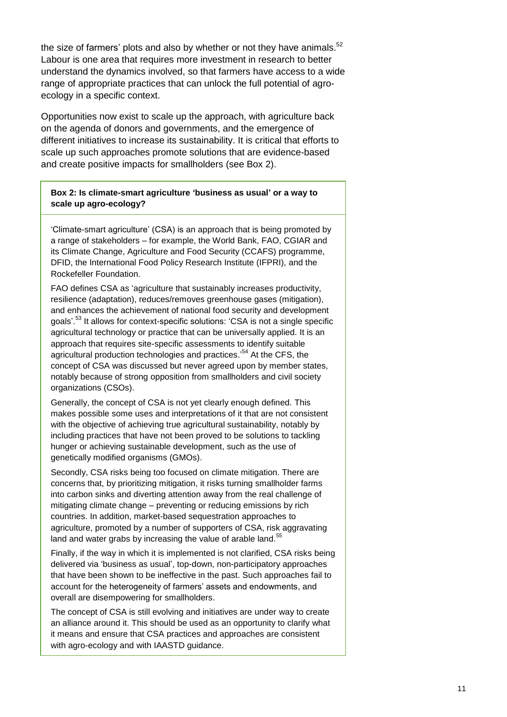the size of farmers' plots and also by whether or not they have animals.<sup>52</sup> Labour is one area that requires more investment in research to better understand the dynamics involved, so that farmers have access to a wide range of appropriate practices that can unlock the full potential of agroecology in a specific context.

Opportunities now exist to scale up the approach, with agriculture back on the agenda of donors and governments, and the emergence of different initiatives to increase its sustainability. It is critical that efforts to scale up such approaches promote solutions that are evidence-based and create positive impacts for smallholders (see Box 2).

**Box 2: Is climate-smart agriculture 'business as usual' or a way to scale up agro-ecology?**

"Climate-smart agriculture" (CSA) is an approach that is being promoted by a range of stakeholders – for example, the World Bank, FAO, CGIAR and its Climate Change, Agriculture and Food Security (CCAFS) programme, DFID, the International Food Policy Research Institute (IFPRI), and the Rockefeller Foundation.

FAO defines CSA as "agriculture that sustainably increases productivity, resilience (adaptation), reduces/removes greenhouse gases (mitigation), and enhances the achievement of national food security and development goals'.<sup>53</sup> It allows for context-specific solutions: 'CSA is not a single specific agricultural technology or practice that can be universally applied. It is an approach that requires site-specific assessments to identify suitable agricultural production technologies and practices.<sup>54</sup> At the CFS, the concept of CSA was discussed but never agreed upon by member states, notably because of strong opposition from smallholders and civil society organizations (CSOs).

Generally, the concept of CSA is not yet clearly enough defined. This makes possible some uses and interpretations of it that are not consistent with the objective of achieving true agricultural sustainability, notably by including practices that have not been proved to be solutions to tackling hunger or achieving sustainable development, such as the use of genetically modified organisms (GMOs).

Secondly, CSA risks being too focused on climate mitigation. There are concerns that, by prioritizing mitigation, it risks turning smallholder farms into carbon sinks and diverting attention away from the real challenge of mitigating climate change – preventing or reducing emissions by rich countries. In addition, market-based sequestration approaches to agriculture, promoted by a number of supporters of CSA, risk aggravating land and water grabs by increasing the value of arable land.<sup>55</sup>

Finally, if the way in which it is implemented is not clarified, CSA risks being delivered via "business as usual", top-down, non-participatory approaches that have been shown to be ineffective in the past. Such approaches fail to account for the heterogeneity of farmers" assets and endowments, and overall are disempowering for smallholders.

The concept of CSA is still evolving and initiatives are under way to create an alliance around it. This should be used as an opportunity to clarify what it means and ensure that CSA practices and approaches are consistent with agro-ecology and with IAASTD guidance.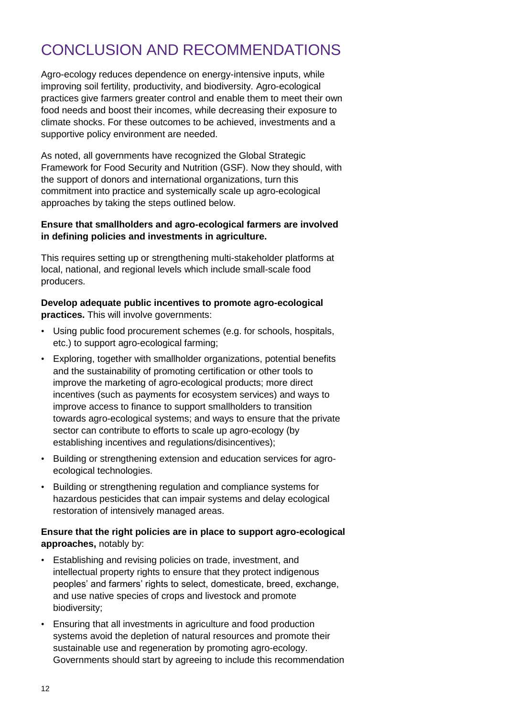# CONCLUSION AND RECOMMENDATIONS

Agro-ecology reduces dependence on energy-intensive inputs, while improving soil fertility, productivity, and biodiversity. Agro-ecological practices give farmers greater control and enable them to meet their own food needs and boost their incomes, while decreasing their exposure to climate shocks. For these outcomes to be achieved, investments and a supportive policy environment are needed.

As noted, all governments have recognized the Global Strategic Framework for Food Security and Nutrition (GSF). Now they should, with the support of donors and international organizations, turn this commitment into practice and systemically scale up agro-ecological approaches by taking the steps outlined below.

## **Ensure that smallholders and agro-ecological farmers are involved in defining policies and investments in agriculture.**

This requires setting up or strengthening multi-stakeholder platforms at local, national, and regional levels which include small-scale food producers.

**Develop adequate public incentives to promote agro-ecological practices.** This will involve governments:

- Using public food procurement schemes (e.g. for schools, hospitals, etc.) to support agro-ecological farming;
- Exploring, together with smallholder organizations, potential benefits and the sustainability of promoting certification or other tools to improve the marketing of agro-ecological products; more direct incentives (such as payments for ecosystem services) and ways to improve access to finance to support smallholders to transition towards agro-ecological systems; and ways to ensure that the private sector can contribute to efforts to scale up agro-ecology (by establishing incentives and regulations/disincentives);
- Building or strengthening extension and education services for agroecological technologies.
- Building or strengthening regulation and compliance systems for hazardous pesticides that can impair systems and delay ecological restoration of intensively managed areas.

## **Ensure that the right policies are in place to support agro-ecological approaches,** notably by:

- Establishing and revising policies on trade, investment, and intellectual property rights to ensure that they protect indigenous peoples" and farmers" rights to select, domesticate, breed, exchange, and use native species of crops and livestock and promote biodiversity;
- Ensuring that all investments in agriculture and food production systems avoid the depletion of natural resources and promote their sustainable use and regeneration by promoting agro-ecology. Governments should start by agreeing to include this recommendation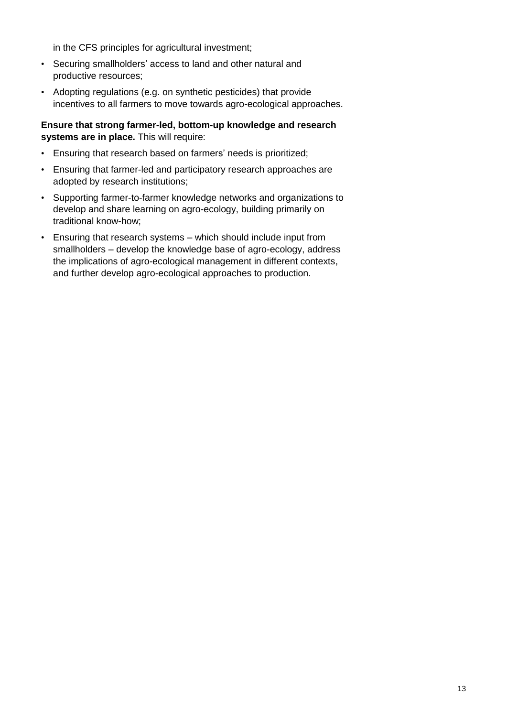in the CFS principles for agricultural investment;

- Securing smallholders" access to land and other natural and productive resources;
- Adopting regulations (e.g. on synthetic pesticides) that provide incentives to all farmers to move towards agro-ecological approaches.

**Ensure that strong farmer-led, bottom-up knowledge and research systems are in place.** This will require:

- Ensuring that research based on farmers' needs is prioritized;
- Ensuring that farmer-led and participatory research approaches are adopted by research institutions;
- Supporting farmer-to-farmer knowledge networks and organizations to develop and share learning on agro-ecology, building primarily on traditional know-how;
- Ensuring that research systems which should include input from smallholders – develop the knowledge base of agro-ecology, address the implications of agro-ecological management in different contexts, and further develop agro-ecological approaches to production.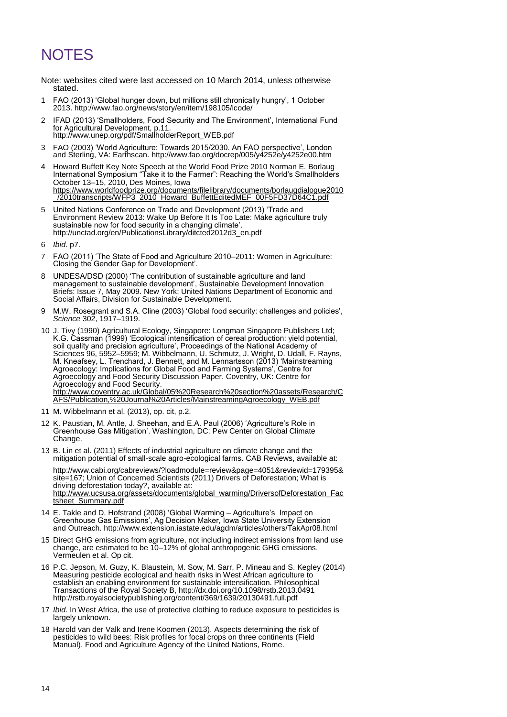# **NOTES**

Note: websites cited were last accessed on 10 March 2014, unless otherwise stated.

- 1 FAO (2013) "Global hunger down, but millions still chronically hungry", 1 October 2013[. http://www.fao.org/news/story/en/item/198105/icode/](http://www.fao.org/news/story/en/item/198105/icode/)
- 2 IFAD (2013) "Smallholders, Food Security and The Environment", International Fund for Agricultural Development, p.11. [http://www.unep.org/pdf/SmallholderReport\\_WEB.pdf](http://www.unep.org/pdf/SmallholderReport_WEB.pdf)
- 3 FAO (2003) "World Agriculture: Towards 2015/2030. An FAO perspective", London and Sterling, VA: Earthscan.<http://www.fao.org/docrep/005/y4252e/y4252e00.htm>
- 4 Howard Buffett Key Note Speech at the World Food Prize 2010 Norman E. Borlaug International Symposium "Take it to the Farmer": Reaching the World"s Smallholders October 13–15, 2010, Des Moines, Iowa [https://www.worldfoodprize.org/documents/filelibrary/documents/borlaugdialogue2010](https://www.worldfoodprize.org/documents/filelibrary/documents/borlaugdialogue2010_/2010transcripts/WFP3_2010_Howard_BuffettEditedMEF_00F5FD37D64C1.pdf) [\\_/2010transcripts/WFP3\\_2010\\_Howard\\_BuffettEditedMEF\\_00F5FD37D64C1.pdf](https://www.worldfoodprize.org/documents/filelibrary/documents/borlaugdialogue2010_/2010transcripts/WFP3_2010_Howard_BuffettEditedMEF_00F5FD37D64C1.pdf)
- 5 United Nations Conference on Trade and Development (2013) "Trade and Environment Review 2013: Wake Up Before It Is Too Late: Make agriculture truly sustainable now for food security in a changing climate". [http://unctad.org/en/PublicationsLibrary/ditcted2012d3\\_en.pdf](http://unctad.org/en/PublicationsLibrary/ditcted2012d3_en.pdf)
- 6 *Ibid*. p7.
- 7 FAO (2011) "The State of Food and Agriculture 2010–2011: Women in Agriculture: Closing the Gender Gap for Development'.
- UNDESA/DSD (2000) 'The contribution of sustainable agriculture and land management to sustainable development', Sustainable Development Innovation Briefs: Issue 7, May 2009. New York: United Nations Department of Economic and Social Affairs, Division for Sustainable Development.
- 9 M.W. Rosegrant and S.A. Cline (2003) "Global food security: challenges and policies", *Science* 302, 1917–1919.
- 10 J. Tivy (1990) Agricultural Ecology, Singapore: Longman Singapore Publishers Ltd; K.G. Cassman (1999) "Ecological intensification of cereal production: yield potential, soil quality and precision agriculture', Proceedings of the National Academy of Sciences 96, 5952–5959; M. Wibbelmann, U. Schmutz, J. Wright, D. Udall, F. Rayns, M. Kneafsey, L. Trenchard, J. Bennett, and M. Lennartsson (2013) "Mainstreaming Agroecology: Implications for Global Food and Farming Systems', Centre for Agroecology and Food Security Discussion Paper. Coventry, UK: Centre for Agroecology and Food Security. [http://www.coventry.ac.uk/Global/05%20Research%20section%20assets/Research/C](http://www.coventry.ac.uk/Global/05%20Research%20section%20assets/Research/CAFS/Publication,%20Journal%20Articles/MainstreamingAgroecology_WEB.pdf) [AFS/Publication,%20Journal%20Articles/MainstreamingAgroecology\\_WEB.pdf](http://www.coventry.ac.uk/Global/05%20Research%20section%20assets/Research/CAFS/Publication,%20Journal%20Articles/MainstreamingAgroecology_WEB.pdf)
- 11 M. Wibbelmann et al. (2013), op. cit, p.2.
- 12 K. Paustian, M. Antle, J. Sheehan, and E.A. Paul (2006) "Agriculture"s Role in Greenhouse Gas Mitigation". Washington, DC: Pew Center on Global Climate Change.
- 13 B. Lin et al. (2011) Effects of industrial agriculture on climate change and the mitigation potential of small-scale agro-ecological farms. CAB Reviews, available at:

[http://www.cabi.org/cabreviews/?loadmodule=review&page=4051&reviewid=179395&](http://www.cabi.org/cabreviews/?loadmodule=review&page=4051&reviewid=179395&site=167) [site=167;](http://www.cabi.org/cabreviews/?loadmodule=review&page=4051&reviewid=179395&site=167) Union of Concerned Scientists (2011) Drivers of Deforestation; What is driving deforestation today?, available at: [http://www.ucsusa.org/assets/documents/global\\_warming/DriversofDeforestation\\_Fac](http://www.ucsusa.org/assets/documents/global_warming/DriversofDeforestation_Factsheet_Summary.pdf) [tsheet\\_Summary.pdf](http://www.ucsusa.org/assets/documents/global_warming/DriversofDeforestation_Factsheet_Summary.pdf)

- 14 E. Takle and D. Hofstrand (2008) "Global Warming Agriculture"s Impact on Greenhouse Gas Emissions", Ag Decision Maker, Iowa State University Extension and Outreach.<http://www.extension.iastate.edu/agdm/articles/others/TakApr08.html>
- 15 Direct GHG emissions from agriculture, not including indirect emissions from land use change, are estimated to be 10–12% of global anthropogenic GHG emissions. Vermeulen et al. Op cit.
- 16 P.C. Jepson, M. Guzy, K. Blaustein, M. Sow, M. Sarr, P. Mineau and S. Kegley (2014) Measuring pesticide ecological and health risks in West African agriculture to establish an enabling environment for sustainable intensification. Philosophical Transactions of the Royal Society B,<http://dx.doi.org/10.1098/rstb.2013.0491> <http://rstb.royalsocietypublishing.org/content/369/1639/20130491.full.pdf>
- 17 *Ibid*. In West Africa, the use of protective clothing to reduce exposure to pesticides is largely unknown.
- 18 Harold van der Valk and Irene Koomen (2013). Aspects determining the risk of pesticides to wild bees: Risk profiles for focal crops on three continents (Field Manual). Food and Agriculture Agency of the United Nations, Rome.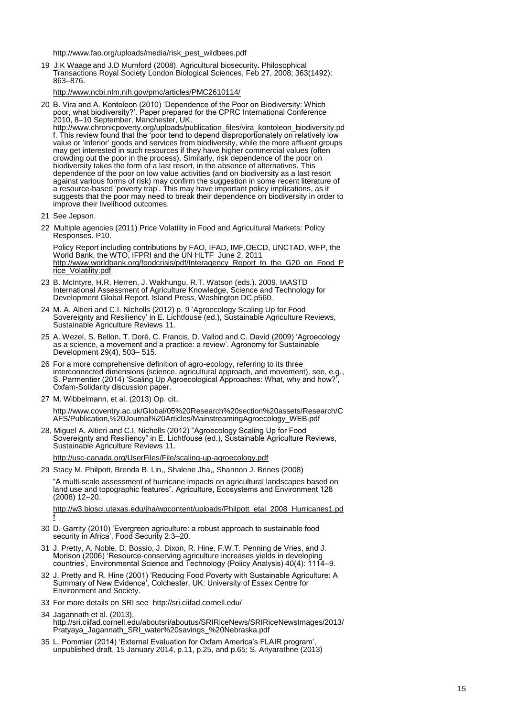http://www.fao.org/uploads/media/risk\_pest\_wildbees.pdf

19 [J.K Waage](http://www.ncbi.nlm.nih.gov/pubmed/?term=Waage%20J%5Bauth%5D) an[d J.D Mumford](http://www.ncbi.nlm.nih.gov/pubmed/?term=Mumford%20J%5Bauth%5D) (2008). Agricultural biosecurity**.** Philosophical Transactions Royal Society London Biological Sciences, Feb 27, 2008; 363(1492): 863–876.

<http://www.ncbi.nlm.nih.gov/pmc/articles/PMC2610114/>

20 B. Vira and A. Kontoleon (2010) "Dependence of the Poor on Biodiversity: Which poor, what biodiversity?". Paper prepared for the CPRC International Conference 2010, 8–10 September, Manchester, UK.

[http://www.chronicpoverty.org/uploads/publication\\_files/vira\\_kontoleon\\_biodiversity.pd](http://www.chronicpoverty.org/uploads/publication_files/vira_kontoleon_biodiversity.pdf) [f.](http://www.chronicpoverty.org/uploads/publication_files/vira_kontoleon_biodiversity.pdf) This review found that the "poor tend to depend disproportionately on relatively low value or "inferior" goods and services from biodiversity, while the more affluent groups may get interested in such resources if they have higher commercial values (often crowding out the poor in the process). Similarly, risk dependence of the poor on biodiversity takes the form of a last resort, in the absence of alternatives. This dependence of the poor on low value activities (and on biodiversity as a last resort against various forms of risk) may confirm the suggestion in some recent literature of a resource‐based "poverty trap". This may have important policy implications, as it suggests that the poor may need to break their dependence on biodiversity in order to improve their livelihood outcomes.

- 21 See Jepson.
- 22 Multiple agencies (2011) Price Volatility in Food and Agricultural Markets: Policy Responses. P10.

Policy Report including contributions by FAO, IFAD, IMF,OECD, UNCTAD, WFP, the World Bank, the WTO, IFPRI and the UN HLTF June 2, 2011 [http://www.worldbank.org/foodcrisis/pdf/Interagency\\_Report\\_to\\_the\\_G20\\_on\\_Food\\_P](http://www.worldbank.org/foodcrisis/pdf/Interagency_Report_to_the_G20_on_Food_Price_Volatility.pdf) [rice\\_Volatility.pdf](http://www.worldbank.org/foodcrisis/pdf/Interagency_Report_to_the_G20_on_Food_Price_Volatility.pdf) 

- 23 B. McIntyre, H.R. Herren, J. Wakhungu, R.T. Watson (eds.). 2009. IAASTD International Assessment of Agriculture Knowledge, Science and Technology for Development Global Report. Island Press, Washington DC.p560.
- 24 M. A. Altieri and C.I. Nicholls (2012) p. 9 "Agroecology Scaling Up for Food Sovereignty and Resiliency" in E. Lichtfouse (ed.), Sustainable Agriculture Reviews, Sustainable Agriculture Reviews 11.
- 25 A. Wezel, S. Bellon, T. Doré, C. Francis, D. Vallod and C. David (2009) "Agroecology as a science, a movement and a practice: a review". Agronomy for Sustainable Development 29(4), 503– 515.
- 26 For a more comprehensive definition of agro-ecology, referring to its three interconnected dimensions (science, agricultural approach, and movement), see, e.g., S. Parmentier (2014) 'Scaling Up Agroecological Approaches: What, why and how?' Oxfam-Solidarity discussion paper.
- 27 M. Wibbelmann, et al. (2013) Op. cit..

[http://www.coventry.ac.uk/Global/05%20Research%20section%20assets/Research/C](http://www.coventry.ac.uk/Global/05%20Research%20section%20assets/Research/CAFS/Publication,%20Journal%20Articles/MainstreamingAgroecology_WEB.pdf) [AFS/Publication,%20Journal%20Articles/MainstreamingAgroecology\\_WEB.pdf](http://www.coventry.ac.uk/Global/05%20Research%20section%20assets/Research/CAFS/Publication,%20Journal%20Articles/MainstreamingAgroecology_WEB.pdf)

28, Miguel A. Altieri and C.I. Nicholls (2012) "Agroecology Scaling Up for Food Sovereignty and Resiliency" in E. Lichtfouse (ed.), Sustainable Agriculture Reviews, Sustainable Agriculture Reviews 11.

<http://usc-canada.org/UserFiles/File/scaling-up-agroecology.pdf>

29 Stacy M. Philpott, Brenda B. Lin,, Shalene Jha,, Shannon J. Brines (2008)

"A multi-scale assessment of hurricane impacts on agricultural landscapes based on land use and topographic features". Agriculture, Ecosystems and Environment 128 (2008) 12–20.

[http://w3.biosci.utexas.edu/jha/wpcontent/uploads/Philpott\\_etal\\_2008\\_Hurricanes1.pd](http://w3.biosci.utexas.edu/jha/wpcontent/uploads/Philpott_etal_2008_Hurricanes1.pdf) [f](http://w3.biosci.utexas.edu/jha/wpcontent/uploads/Philpott_etal_2008_Hurricanes1.pdf)

- 30 D. Garrity (2010) "Evergreen agriculture: a robust approach to sustainable food security in Africa", Food Security 2:3–20.
- 31 J. Pretty, A. Noble, D. Bossio, J. Dixon, R. Hine, F.W.T. Penning de Vries, and J. Morison (2006) "Resource-conserving agriculture increases yields in developing countries", Environmental Science and Technology (Policy Analysis) 40(4): 1114–9.
- 32 J. Pretty and R. Hine (2001) "Reducing Food Poverty with Sustainable Agriculture: A Summary of New Evidence", Colchester, UK: University of Essex Centre for Environment and Society.
- 33 For more details on SRI see<http://sri.ciifad.cornell.edu/>
- 34 Jagannath et al. (2013), [http://sri.ciifad.cornell.edu/aboutsri/aboutus/SRIRiceNews/SRIRiceNewsImages/2013/](http://sri.ciifad.cornell.edu/aboutsri/aboutus/SRIRiceNews/SRIRiceNewsImages/2013/Pratyaya_Jagannath_SRI_water%20savings_%20Nebraska.pdf) [Pratyaya\\_Jagannath\\_SRI\\_water%20savings\\_%20Nebraska.pdf](http://sri.ciifad.cornell.edu/aboutsri/aboutus/SRIRiceNews/SRIRiceNewsImages/2013/Pratyaya_Jagannath_SRI_water%20savings_%20Nebraska.pdf)
- 35 L. Pommier (2014) "External Evaluation for Oxfam America"s FLAIR program", unpublished draft, 15 January 2014, p.11, p.25, and p.65; S. Ariyarathne (2013)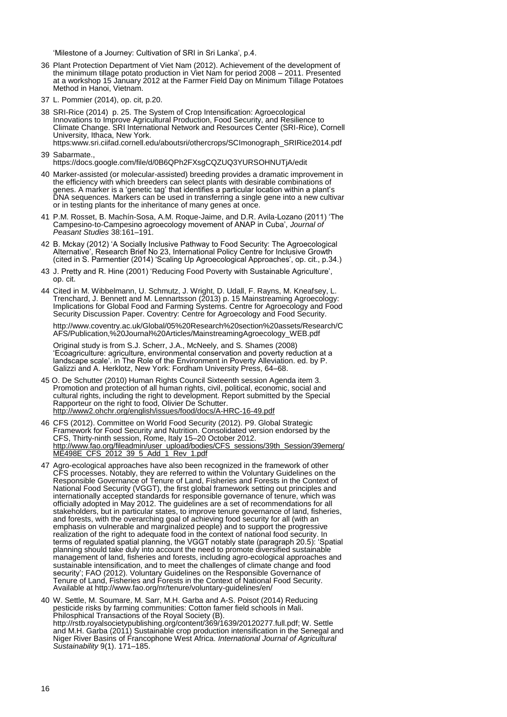'Milestone of a Journey: Cultivation of SRI in Sri Lanka', p.4.

- 36 Plant Protection Department of Viet Nam (2012). Achievement of the development of the minimum tillage potato production in Viet Nam for period 2008 – 2011. Presented at a workshop 15 January 2012 at the Farmer Field Day on Minimum Tillage Potatoes Method in Hanoi, Vietnam.
- 37 L. Pommier (2014), op. cit, p.20.
- 38 SRI-Rice (2014) p. 25. The System of Crop Intensification: Agroecological Innovations to Improve Agricultural Production, Food Security, and Resilience to Climate Change. SRI International Network and Resources Center (SRI-Rice), Cornell University, Ithaca, New York. https:www.sri.ciifad.cornell.edu/aboutsri/othercrops/SCImonograph\_SRIRice2014.pdf
- 39 Sabarmate., <https://docs.google.com/file/d/0B6QPh2FXsgCQZUQ3YURSOHNUTjA/edit>
- 40 Marker-assisted (or molecular-assisted) breeding provides a dramatic improvement in the efficiency with which breeders can select plants with desirable combinations of genes. A marker is a "genetic tag" that identifies a particular location within a plant"s DNA sequences. Markers can be used in transferring a single gene into a new cultivar or in testing plants for the inheritance of many genes at once.
- 41 P.M. Rosset, B. Machín-Sosa, A.M. Roque-Jaime, and D.R. Avila-Lozano (2011) "The Campesino-to-Campesino agroecology movement of ANAP in Cuba", *Journal of Peasant Studies* 38:161–191.
- 42 B. Mckay (2012) "A Socially Inclusive Pathway to Food Security: The Agroecological Alternative", Research Brief No 23, International Policy Centre for Inclusive Growth (cited in S. Parmentier (2014) "Scaling Up Agroecological Approaches", op. cit., p.34.)
- 43 J. Pretty and R. Hine (2001) "Reducing Food Poverty with Sustainable Agriculture", op. cit.
- 44 Cited in M. Wibbelmann, U. Schmutz, J. Wright, D. Udall, F. Rayns, M. Kneafsey, L. Trenchard, J. Bennett and M. Lennartsson (2013) p. 15 Mainstreaming Agroecology: Implications for Global Food and Farming Systems. Centre for Agroecology and Food Security Discussion Paper. Coventry: Centre for Agroecology and Food Security.

[http://www.coventry.ac.uk/Global/05%20Research%20section%20assets/Research/C](http://www.coventry.ac.uk/Global/05%20Research%20section%20assets/Research/CAFS/Publication,%20Journal%20Articles/MainstreamingAgroecology_WEB.pdf) [AFS/Publication,%20Journal%20Articles/MainstreamingAgroecology\\_WEB.pdf](http://www.coventry.ac.uk/Global/05%20Research%20section%20assets/Research/CAFS/Publication,%20Journal%20Articles/MainstreamingAgroecology_WEB.pdf)

Original study is from S.J. Scherr, J.A., McNeely, and S. Shames (2008) "Ecoagriculture: agriculture, environmental conservation and poverty reduction at a landscape scale'. in The Role of the Environment in Poverty Alleviation. ed. by P. Galizzi and A. Herklotz, New York: Fordham University Press, 64–68.

- 45 O. De Schutter (2010) Human Rights Council Sixteenth session Agenda item 3. Promotion and protection of all human rights, civil, political, economic, social and cultural rights, including the right to development. Report submitted by the Special Rapporteur on the right to food, Olivier De Schutter. <http://www2.ohchr.org/english/issues/food/docs/A-HRC-16-49.pdf>
- 46 CFS (2012). Committee on World Food Security (2012). P9. Global Strategic Framework for Food Security and Nutrition. Consolidated version endorsed by the CFS, Thirty-ninth session, Rome, Italy 15–20 October 2012. [http://www.fao.org/fileadmin/user\\_upload/bodies/CFS\\_sessions/39th\\_Session/39emerg/](http://www.fao.org/fileadmin/user_upload/bodies/CFS_sessions/39th_Session/39emerg/ME498E_CFS_2012_39_5_Add_1_Rev_1.pdf) [ME498E\\_CFS\\_2012\\_39\\_5\\_Add\\_1\\_Rev\\_1.pdf](http://www.fao.org/fileadmin/user_upload/bodies/CFS_sessions/39th_Session/39emerg/ME498E_CFS_2012_39_5_Add_1_Rev_1.pdf)
- 47 Agro-ecological approaches have also been recognized in the framework of other CFS processes. Notably, they are referred to within the Voluntary Guidelines on the Responsible Governance of Tenure of Land, Fisheries and Forests in the Context of National Food Security (VGGT), the first global framework setting out principles and internationally accepted standards for responsible governance of tenure, which was officially adopted in May 2012. The guidelines are a set of recommendations for all stakeholders, but in particular states, to improve tenure governance of land, fisheries, and forests, with the overarching goal of achieving food security for all (with an emphasis on vulnerable and marginalized people) and to support the progressive realization of the right to adequate food in the context of national food security. In terms of regulated spatial planning, the VGGT notably state (paragraph 20.5): "Spatial planning should take duly into account the need to promote diversified sustainable management of land, fisheries and forests, including agro-ecological approaches and management of land, fisheries and forests, including agro-ecological approaches and sustainable intensification, and to meet the challenges of climate change and food security'; FAO (2012). Voluntary Guidelines on the Responsible Governance of Tenure of Land, Fisheries and Forests in the Context of National Food Security. Available at <http://www.fao.org/nr/tenure/voluntary-guidelines/en/>
- 40 W. Settle, M. Soumare, M. Sarr, M.H. Garba and A-S. Poisot (2014) Reducing pesticide risks by farming communities: Cotton famer field schools in Mali. Philosphical Transactions of the Royal Society (B). [http://rstb.royalsocietypublishing.org/content/369/1639/20120277.full.pdf;](http://rstb.royalsocietypublishing.org/content/369/1639/20120277.full.pdf) W. Settle and M.H. Garba (2011) Sustainable crop production intensification in the Senegal and Niger River Basins of Francophone West Africa. *International Journal of Agricultural Sustainability* 9(1). 171–185.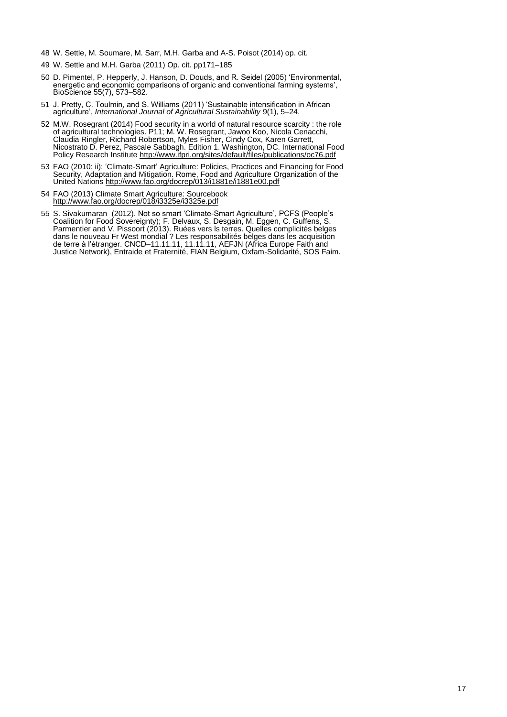- 48 W. Settle, M. Soumare, M. Sarr, M.H. Garba and A-S. Poisot (2014) op. cit.
- 49 W. Settle and M.H. Garba (2011) Op. cit. pp171–185
- 50 D. Pimentel, P. Hepperly, J. Hanson, D. Douds, and R. Seidel (2005) "Environmental, energetic and economic comparisons of organic and conventional farming systems", BioScience 55(7), 573–582.
- 51 J. Pretty, C. Toulmin, and S. Williams (2011) "Sustainable intensification in African agriculture', *International Journal of Agricultural Sustainability* 9(1), 5-24.
- 52 M.W. Rosegrant (2014) Food security in a world of natural resource scarcity : the role of agricultural technologies. P11; M. W. Rosegrant, Jawoo Koo, Nicola Cenacchi, Claudia Ringler, Richard Robertson, Myles Fisher, Cindy Cox, Karen Garrett, Nicostrato D. Perez, Pascale Sabbagh. Edition 1. Washington, DC. International Food Policy Research Institute <http://www.ifpri.org/sites/default/files/publications/oc76.pdf>
- 53 FAO (2010: ii): "Climate-Smart" Agriculture: Policies, Practices and Financing for Food Security, Adaptation and Mitigation. Rome, Food and Agriculture Organization of the United Nations<http://www.fao.org/docrep/013/i1881e/i1881e00.pdf>
- 54 FAO (2013) Climate Smart Agriculture: Sourcebook <http://www.fao.org/docrep/018/i3325e/i3325e.pdf>
- 55 S. Sivakumaran (2012). Not so smart "Climate-Smart Agriculture", PCFS (People"s Coalition for Food Sovereignty); F. Delvaux, S. Desgain, M. Eggen, C. Guffens, S. Parmentier and V. Pissoort (2013). Ruées vers ls terres. Quelles complicités belges dans le nouveau Fr West mondial ? Les responsabilités belges dans les acquisition de terre à l"étranger. CNCD–11.11.11, 11.11.11, AEFJN (Africa Europe Faith and Justice Network), Entraide et Fraternité, FIAN Belgium, Oxfam-Solidarité, SOS Faim.